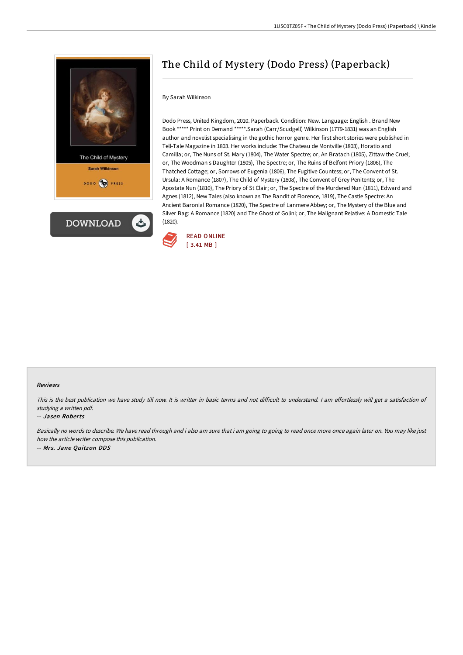



# The Child of Mystery (Dodo Press) (Paperback)

## By Sarah Wilkinson

Dodo Press, United Kingdom, 2010. Paperback. Condition: New. Language: English . Brand New Book \*\*\*\*\* Print on Demand \*\*\*\*\*.Sarah (Carr/Scudgell) Wilkinson (1779-1831) was an English author and novelist specialising in the gothic horror genre. Her first short stories were published in Tell-Tale Magazine in 1803. Her works include: The Chateau de Montville (1803), Horatio and Camilla; or, The Nuns of St. Mary (1804), The Water Spectre; or, An Bratach (1805), Zittaw the Cruel; or, The Woodman s Daughter (1805), The Spectre; or, The Ruins of Belfont Priory (1806), The Thatched Cottage; or, Sorrows of Eugenia (1806), The Fugitive Countess; or, The Convent of St. Ursula: A Romance (1807), The Child of Mystery (1808), The Convent of Grey Penitents; or, The Apostate Nun (1810), The Priory of St Clair; or, The Spectre of the Murdered Nun (1811), Edward and Agnes (1812), New Tales (also known as The Bandit of Florence, 1819), The Castle Spectre: An Ancient Baronial Romance (1820), The Spectre of Lanmere Abbey; or, The Mystery of the Blue and Silver Bag: A Romance (1820) and The Ghost of Golini; or, The Malignant Relative: A Domestic Tale (1820).



## Reviews

This is the best publication we have study till now. It is writter in basic terms and not difficult to understand. I am effortlessly will get a satisfaction of studying <sup>a</sup> written pdf.

#### -- Jasen Roberts

Basically no words to describe. We have read through and i also am sure that i am going to going to read once more once again later on. You may like just how the article writer compose this publication. -- Mrs. Jane Quitzon DDS